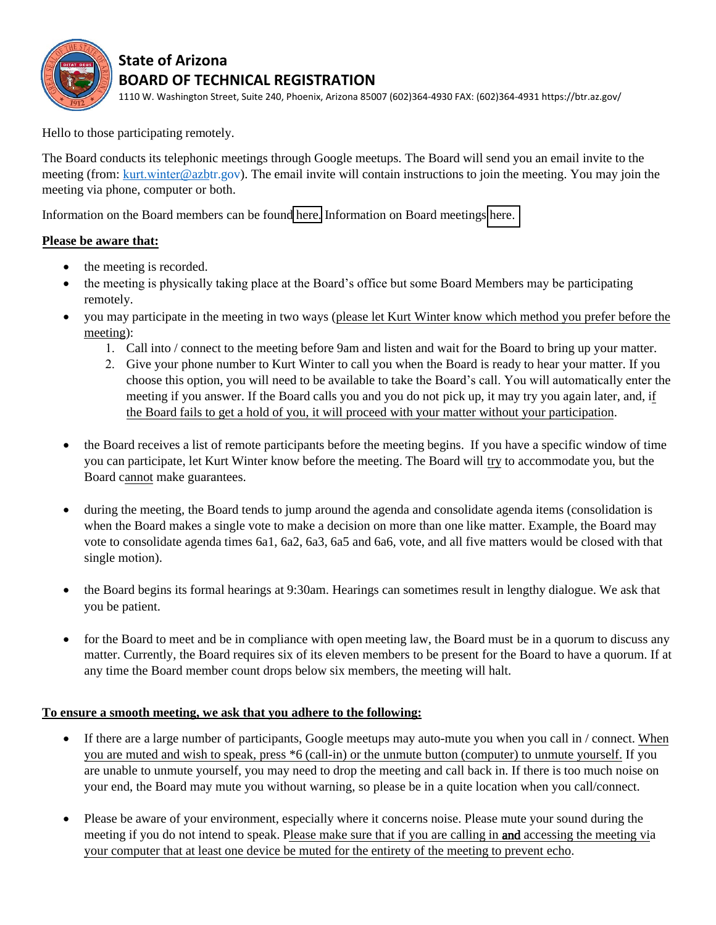

## **State of Arizona BOARD OF TECHNICAL REGISTRATION**

1110 W. Washington Street, Suite 240, Phoenix, Arizona 85007 (602)364-4930 FAX: (602)364-4931 https://btr.az.gov/

Hello to those participating remotely.

The Board conducts its telephonic meetings through Google meetups. The Board will send you an email invite to the meeting (from: kurt.winter[@azbtr.gov\)](mailto:news@azbtr.gov). The email invite will contain instructions to join the meeting. You may join the meeting via phone, computer or both.

Information on the Board members can be found [here.](https://btr.az.gov/board-members) Information on Board meetings [here.](https://btr.az.gov/board-meetings-0) 

## **Please be aware that:**

- the meeting is recorded.
- the meeting is physically taking place at the Board's office but some Board Members may be participating remotely.
- you may participate in the meeting in two ways (please let Kurt Winter know which method you prefer before the meeting):
	- 1. Call into / connect to the meeting before 9am and listen and wait for the Board to bring up your matter.
	- 2. Give your phone number to Kurt Winter to call you when the Board is ready to hear your matter. If you choose this option, you will need to be available to take the Board's call. You will automatically enter the meeting if you answer. If the Board calls you and you do not pick up, it may try you again later, and, if the Board fails to get a hold of you, it will proceed with your matter without your participation.
- the Board receives a list of remote participants before the meeting begins. If you have a specific window of time you can participate, let Kurt Winter know before the meeting. The Board will try to accommodate you, but the Board cannot make guarantees.
- during the meeting, the Board tends to jump around the agenda and consolidate agenda items (consolidation is when the Board makes a single vote to make a decision on more than one like matter. Example, the Board may vote to consolidate agenda times 6a1, 6a2, 6a3, 6a5 and 6a6, vote, and all five matters would be closed with that single motion).
- the Board begins its formal hearings at 9:30am. Hearings can sometimes result in lengthy dialogue. We ask that you be patient.
- for the Board to meet and be in compliance with open meeting law, the Board must be in a quorum to discuss any matter. Currently, the Board requires six of its eleven members to be present for the Board to have a quorum. If at any time the Board member count drops below six members, the meeting will halt.

## **To ensure a smooth meeting, we ask that you adhere to the following:**

- If there are a large number of participants, Google meetups may auto-mute you when you call in / connect. When you are muted and wish to speak, press \*6 (call-in) or the unmute button (computer) to unmute yourself. If you are unable to unmute yourself, you may need to drop the meeting and call back in. If there is too much noise on your end, the Board may mute you without warning, so please be in a quite location when you call/connect.
- Please be aware of your environment, especially where it concerns noise. Please mute your sound during the meeting if you do not intend to speak. Please make sure that if you are calling in and accessing the meeting via your computer that at least one device be muted for the entirety of the meeting to prevent echo.